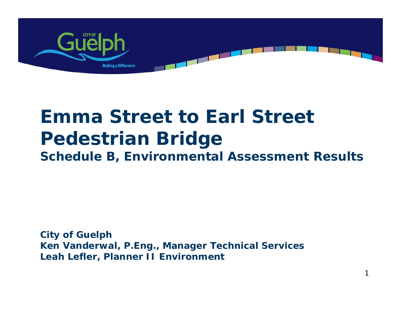

# **Emma Street to Earl Street Pedestrian Bridge Schedule B, Environmental Assessment Results**

**City of Guelph Ken Vanderwal, P.Eng., Manager Technical Services Leah Lefler, Planner II Environment**

1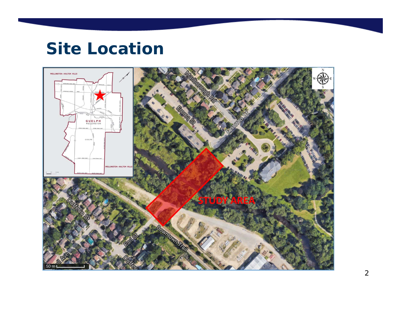## **Site Location**

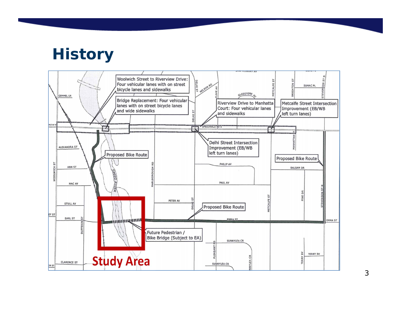### **History**



3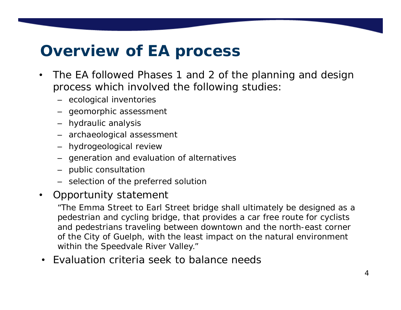### **Overview of EA process**

- • The EA followed Phases 1 and 2 of the planning and design process which involved the following studies:
	- ecological inventories
	- geomorphic assessment
	- hydraulic analysis
	- archaeological assessment
	- hydrogeological review
	- generation and evaluation of alternatives
	- public consultation
	- selection of the preferred solution
- •Opportunity statement

"The Emma Street to Earl Street bridge shall ultimately be designed as a pedestrian and cycling bridge, that provides a car free route for cyclists and pedestrians traveling between downtown and the north-east corner of the City of Guelph, with the least impact on the natural environment within the Speedvale River Valley."

• Evaluation criteria seek to balance needs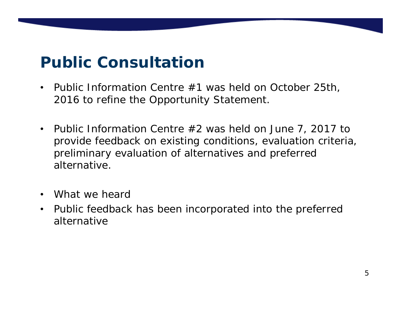# **Public Consultation**

- $\bullet$  Public Information Centre #1 was held on October 25th, 2016 to refine the Opportunity Statement.
- $\bullet$  Public Information Centre #2 was held on June 7, 2017 to provide feedback on existing conditions, evaluation criteria, preliminary evaluation of alternatives and preferred alternative.
- •What we heard
- $\bullet$  Public feedback has been incorporated into the preferred alternative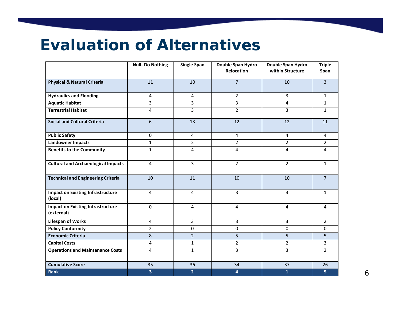#### **Evaluation of Alternatives**

|                                                        | <b>Null-Do Nothing</b> | <b>Single Span</b> | Double Span Hydro<br><b>Relocation</b> | Double Span Hydro<br>within Structure | <b>Triple</b>  |
|--------------------------------------------------------|------------------------|--------------------|----------------------------------------|---------------------------------------|----------------|
|                                                        |                        |                    |                                        |                                       | Span           |
| <b>Physical &amp; Natural Criteria</b>                 | 11                     | 10                 | $\overline{7}$                         | 10                                    | $\overline{3}$ |
| <b>Hydraulics and Flooding</b>                         | $\overline{4}$         | $\overline{4}$     | $\overline{2}$                         | $\overline{3}$                        | $\mathbf{1}$   |
| <b>Aquatic Habitat</b>                                 | 3                      | 3                  | 3                                      | 4                                     | $\mathbf{1}$   |
| <b>Terrestrial Habitat</b>                             | 4                      | 3                  | $\overline{2}$                         | 3                                     | $\mathbf{1}$   |
| <b>Social and Cultural Criteria</b>                    | 6                      | 13                 | 12                                     | 12                                    | 11             |
| <b>Public Safety</b>                                   | 0                      | $\overline{4}$     | 4                                      | 4                                     | $\overline{4}$ |
| <b>Landowner Impacts</b>                               | $\mathbf{1}$           | $2^{\circ}$        | $\overline{2}$                         | $\overline{2}$                        | $2^{\circ}$    |
| <b>Benefits to the Community</b>                       | $\mathbf{1}$           | 4                  | 4                                      | 4                                     | 4              |
| <b>Cultural and Archaeological Impacts</b>             | 4                      | $\overline{3}$     | $\overline{2}$                         | $\overline{2}$                        | $\mathbf{1}$   |
| <b>Technical and Engineering Criteria</b>              | 10                     | 11                 | 10                                     | 10                                    | $\overline{7}$ |
| <b>Impact on Existing Infrastructure</b><br>(local)    | 4                      | 4                  | $\overline{3}$                         | 3                                     | $\mathbf{1}$   |
| <b>Impact on Existing Infrastructure</b><br>(external) | $\Omega$               | 4                  | 4                                      | 4                                     | 4              |
| <b>Lifespan of Works</b>                               | 4                      | $\overline{3}$     | $\overline{3}$                         | 3                                     | $\overline{2}$ |
| <b>Policy Conformity</b>                               | $\overline{2}$         | 0                  | 0                                      | 0                                     | $\mathbf 0$    |
| <b>Economic Criteria</b>                               | 8                      | $\overline{2}$     | 5                                      | 5                                     | 5              |
| <b>Capital Costs</b>                                   | 4                      | $\mathbf{1}$       | $\overline{2}$                         | $\overline{2}$                        | 3              |
| <b>Operations and Maintenance Costs</b>                | 4                      | $\mathbf{1}$       | $\overline{3}$                         | 3                                     | $\overline{2}$ |
| <b>Cumulative Score</b>                                | 35                     | 36                 | 34                                     | 37                                    | 26             |
| <b>Rank</b>                                            | 3                      | $\overline{2}$     | 4                                      | $\mathbf{1}$                          | 5 <sub>1</sub> |

6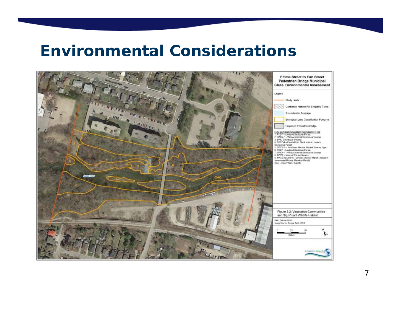#### **Environmental Considerations**

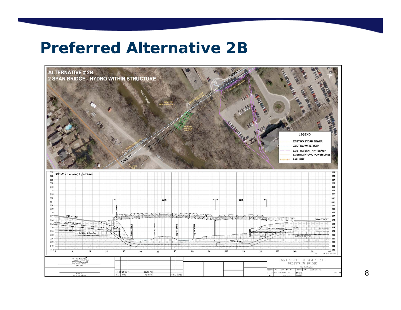### **Preferred Alternative 2B**